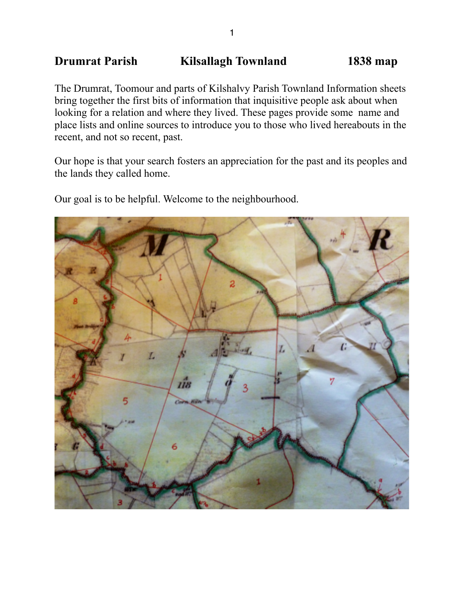# **Drumrat Parish Kilsallagh Townland 1838 map**

The Drumrat, Toomour and parts of Kilshalvy Parish Townland Information sheets bring together the first bits of information that inquisitive people ask about when looking for a relation and where they lived. These pages provide some name and place lists and online sources to introduce you to those who lived hereabouts in the recent, and not so recent, past.

Our hope is that your search fosters an appreciation for the past and its peoples and the lands they called home.

Our goal is to be helpful. Welcome to the neighbourhood.

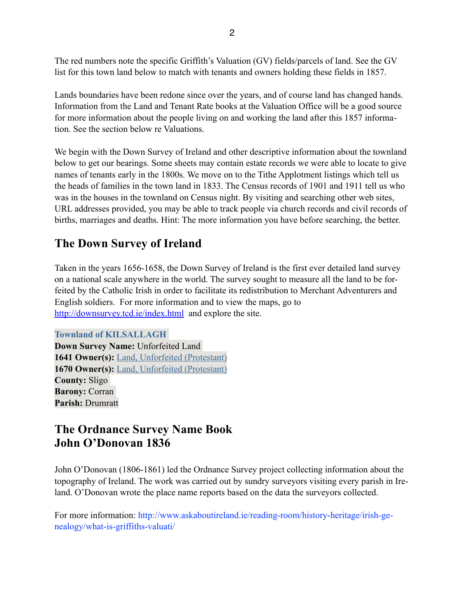The red numbers note the specific Griffith's Valuation (GV) fields/parcels of land. See the GV list for this town land below to match with tenants and owners holding these fields in 1857.

Lands boundaries have been redone since over the years, and of course land has changed hands. Information from the Land and Tenant Rate books at the Valuation Office will be a good source for more information about the people living on and working the land after this 1857 information. See the section below re Valuations.

We begin with the Down Survey of Ireland and other descriptive information about the townland below to get our bearings. Some sheets may contain estate records we were able to locate to give names of tenants early in the 1800s. We move on to the Tithe Applotment listings which tell us the heads of families in the town land in 1833. The Census records of 1901 and 1911 tell us who was in the houses in the townland on Census night. By visiting and searching other web sites, URL addresses provided, you may be able to track people via church records and civil records of births, marriages and deaths. Hint: The more information you have before searching, the better.

# **The Down Survey of Ireland**

Taken in the years 1656-1658, the Down Survey of Ireland is the first ever detailed land survey on a national scale anywhere in the world. The survey sought to measure all the land to be forfeited by the Catholic Irish in order to facilitate its redistribution to Merchant Adventurers and English soldiers. For more information and to view the maps, go to <http://downsurvey.tcd.ie/index.html>and explore the site.

**Townland of KILSALLAGH Down Survey Name:** Unforfeited Land **1641 Owner(s):** Land, Unforfeited (Protestant) **1670 Owner(s):** Land, Unforfeited (Protestant) **County:** Sligo **Barony:** Corran **Parish:** Drumratt

# **The Ordnance Survey Name Book John O'Donovan 1836**

John O'Donovan (1806-1861) led the Ordnance Survey project collecting information about the topography of Ireland. The work was carried out by sundry surveyors visiting every parish in Ireland. O'Donovan wrote the place name reports based on the data the surveyors collected.

For more information: http://www.askaboutireland.ie/reading-room/history-heritage/irish-genealogy/what-is-griffiths-valuati/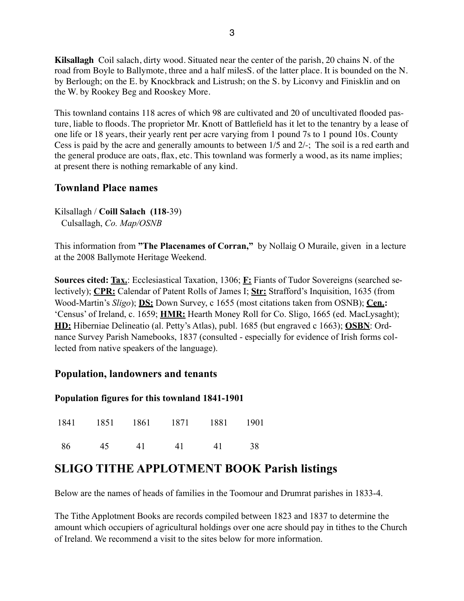**Kilsallagh** Coil salach, dirty wood. Situated near the center of the parish, 20 chains N. of the road from Boyle to Ballymote, three and a half milesS. of the latter place. It is bounded on the N. by Berlough; on the E. by Knockbrack and Listrush; on the S. by Liconvy and Finisklin and on the W. by Rookey Beg and Rooskey More.

This townland contains 118 acres of which 98 are cultivated and 20 of uncultivated flooded pasture, liable to floods. The proprietor Mr. Knott of Battlefield has it let to the tenantry by a lease of one life or 18 years, their yearly rent per acre varying from 1 pound 7s to 1 pound 10s. County Cess is paid by the acre and generally amounts to between 1/5 and 2/-; The soil is a red earth and the general produce are oats, flax, etc. This townland was formerly a wood, as its name implies; at present there is nothing remarkable of any kind.

## **Townland Place names**

Kilsallagh / **Coill Salach (118**-39) Culsallagh, *Co. Map/OSNB*

This information from **"The Placenames of Corran,"** by Nollaig O Muraile, given in a lecture at the 2008 Ballymote Heritage Weekend.

**Sources cited: Tax.**: Ecclesiastical Taxation, 1306; **F:** Fiants of Tudor Sovereigns (searched selectively); **CPR:** Calendar of Patent Rolls of James I; **Str:** Strafford's Inquisition, 1635 (from Wood-Martin's *Sligo*); **DS:** Down Survey, c 1655 (most citations taken from OSNB); **Cen.:** 'Census' of Ireland, c. 1659; **HMR:** Hearth Money Roll for Co. Sligo, 1665 (ed. MacLysaght); **HD:** Hiberniae Delineatio (al. Petty's Atlas), publ. 1685 (but engraved c 1663); **OSBN**: Ordnance Survey Parish Namebooks, 1837 (consulted - especially for evidence of Irish forms collected from native speakers of the language).

## **Population, landowners and tenants**

#### **Population figures for this townland 1841-1901**

|      |       | 1841 1851 1861 1871 1881 1901 |    |    |
|------|-------|-------------------------------|----|----|
| - 86 | 45 41 | 41                            | 41 | 38 |

# **SLIGO TITHE APPLOTMENT BOOK Parish listings**

Below are the names of heads of families in the Toomour and Drumrat parishes in 1833-4.

The Tithe Applotment Books are records compiled between 1823 and 1837 to determine the amount which occupiers of agricultural holdings over one acre should pay in tithes to the Church of Ireland. We recommend a visit to the sites below for more information.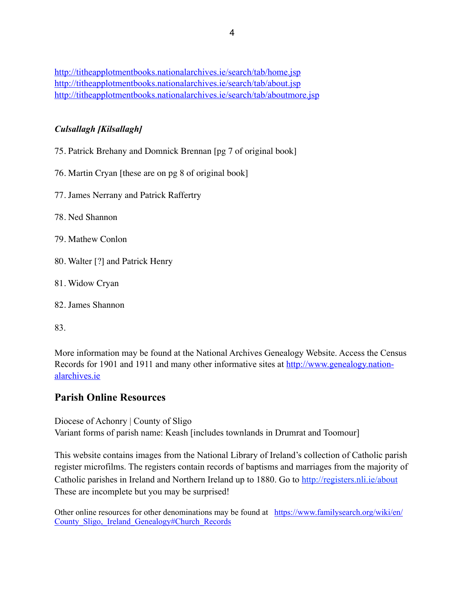<http://titheapplotmentbooks.nationalarchives.ie/search/tab/home.jsp> <http://titheapplotmentbooks.nationalarchives.ie/search/tab/about.jsp> <http://titheapplotmentbooks.nationalarchives.ie/search/tab/aboutmore.jsp>

#### *Culsallagh [Kilsallagh]*

- 75. Patrick Brehany and Domnick Brennan [pg 7 of original book]
- 76. Martin Cryan [these are on pg 8 of original book]
- 77. James Nerrany and Patrick Raffertry
- 78. Ned Shannon
- 79. Mathew Conlon
- 80. Walter [?] and Patrick Henry
- 81. Widow Cryan
- 82. James Shannon

83.

More information may be found at the National Archives Genealogy Website. Access the Census [Records for 1901 and 1911 and many other informative sites at http://www.genealogy.nation](http://www.genealogy.nationalarchives.ie)alarchives.ie

## **Parish Online Resources**

Diocese of Achonry | County of Sligo Variant forms of parish name: Keash [includes townlands in Drumrat and Toomour]

This website contains images from the National Library of Ireland's collection of Catholic parish register microfilms. The registers contain records of baptisms and marriages from the majority of Catholic parishes in Ireland and Northern Ireland up to 1880. Go to <http://registers.nli.ie/about> These are incomplete but you may be surprised!

[Other online resources for other denominations may be found at https://www.familysearch.org/wiki/en/](https://www.familysearch.org/wiki/en/County_Sligo,_Ireland_Genealogy#Church_Records) County Sligo, Ireland Genealogy#Church Records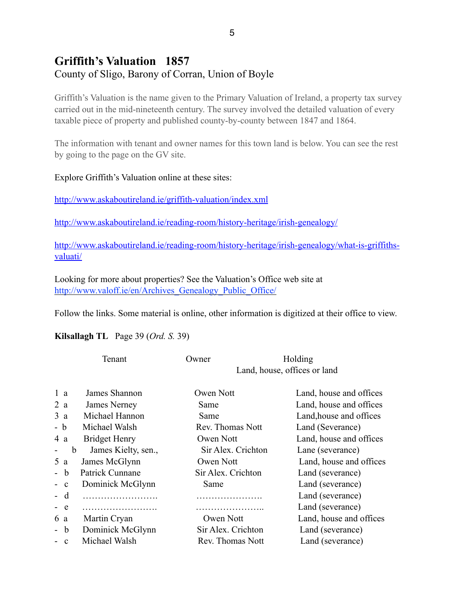# **Griffith's Valuation 1857** County of Sligo, Barony of Corran, Union of Boyle

Griffith's Valuation is the name given to the Primary Valuation of Ireland, a property tax survey carried out in the mid-nineteenth century. The survey involved the detailed valuation of every taxable piece of property and published county-by-county between 1847 and 1864.

The information with tenant and owner names for this town land is below. You can see the rest by going to the page on the GV site.

#### Explore Griffith's Valuation online at these sites:

<http://www.askaboutireland.ie/griffith-valuation/index.xml>

<http://www.askaboutireland.ie/reading-room/history-heritage/irish-genealogy/>

[http://www.askaboutireland.ie/reading-room/history-heritage/irish-genealogy/what-is-griffiths](http://www.askaboutireland.ie/reading-room/history-heritage/irish-genealogy/what-is-griffiths-valuati/)valuati/

Looking for more about properties? See the Valuation's Office web site at [http://www.valoff.ie/en/Archives\\_Genealogy\\_Public\\_Office/](http://www.valoff.ie/en/Archives_Genealogy_Public_Office/)

Follow the links. Some material is online, other information is digitized at their office to view.

#### **Kilsallagh TL** Page 39 (*Ord. S.* 39)

| Land, house, offices or land<br>1 <sub>a</sub><br>James Shannon<br>Owen Nott<br>James Nerney<br>Same<br>2 a<br>Michael Hannon<br>Land, house and offices<br>Same<br>3 a<br>- b<br>Michael Walsh<br>Land (Severance)<br>Rev. Thomas Nott<br><b>Bridget Henry</b><br>Owen Nott<br>4 a<br>James Kielty, sen.,<br>Sir Alex. Crichton<br>Lane (severance)<br>b<br>James McGlynn<br>Owen Nott<br>5a<br>Patrick Cunnane<br>Sir Alex. Crichton<br>Land (severance)<br>- b<br>Dominick McGlynn<br>Land (severance)<br>Same<br>$\mathbf{c}$<br>Land (severance)<br>- d<br>Land (severance)<br>$-$ e<br>Owen Nott<br>Martin Cryan<br>6 a<br>Dominick McGlynn<br>Sir Alex. Crichton<br>Land (severance)<br>- b<br>Michael Walsh<br>Rev. Thomas Nott<br>Land (severance)<br>$\mathbf{c}$ |  | Tenant | Owner | Holding                 |  |
|-----------------------------------------------------------------------------------------------------------------------------------------------------------------------------------------------------------------------------------------------------------------------------------------------------------------------------------------------------------------------------------------------------------------------------------------------------------------------------------------------------------------------------------------------------------------------------------------------------------------------------------------------------------------------------------------------------------------------------------------------------------------------------|--|--------|-------|-------------------------|--|
|                                                                                                                                                                                                                                                                                                                                                                                                                                                                                                                                                                                                                                                                                                                                                                             |  |        |       |                         |  |
|                                                                                                                                                                                                                                                                                                                                                                                                                                                                                                                                                                                                                                                                                                                                                                             |  |        |       | Land, house and offices |  |
|                                                                                                                                                                                                                                                                                                                                                                                                                                                                                                                                                                                                                                                                                                                                                                             |  |        |       | Land, house and offices |  |
|                                                                                                                                                                                                                                                                                                                                                                                                                                                                                                                                                                                                                                                                                                                                                                             |  |        |       |                         |  |
|                                                                                                                                                                                                                                                                                                                                                                                                                                                                                                                                                                                                                                                                                                                                                                             |  |        |       |                         |  |
|                                                                                                                                                                                                                                                                                                                                                                                                                                                                                                                                                                                                                                                                                                                                                                             |  |        |       | Land, house and offices |  |
|                                                                                                                                                                                                                                                                                                                                                                                                                                                                                                                                                                                                                                                                                                                                                                             |  |        |       |                         |  |
|                                                                                                                                                                                                                                                                                                                                                                                                                                                                                                                                                                                                                                                                                                                                                                             |  |        |       | Land, house and offices |  |
|                                                                                                                                                                                                                                                                                                                                                                                                                                                                                                                                                                                                                                                                                                                                                                             |  |        |       |                         |  |
|                                                                                                                                                                                                                                                                                                                                                                                                                                                                                                                                                                                                                                                                                                                                                                             |  |        |       |                         |  |
|                                                                                                                                                                                                                                                                                                                                                                                                                                                                                                                                                                                                                                                                                                                                                                             |  |        |       |                         |  |
|                                                                                                                                                                                                                                                                                                                                                                                                                                                                                                                                                                                                                                                                                                                                                                             |  |        |       |                         |  |
|                                                                                                                                                                                                                                                                                                                                                                                                                                                                                                                                                                                                                                                                                                                                                                             |  |        |       | Land, house and offices |  |
|                                                                                                                                                                                                                                                                                                                                                                                                                                                                                                                                                                                                                                                                                                                                                                             |  |        |       |                         |  |
|                                                                                                                                                                                                                                                                                                                                                                                                                                                                                                                                                                                                                                                                                                                                                                             |  |        |       |                         |  |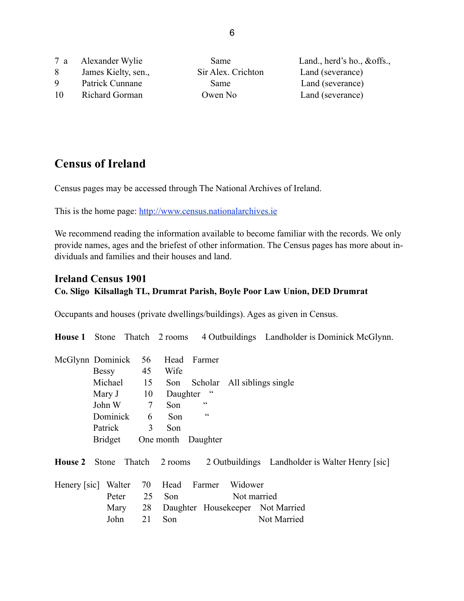|    | 7 a Alexander Wylie | <b>Same</b>        | Land., herd's ho., $&$ offs., |
|----|---------------------|--------------------|-------------------------------|
| 8  | James Kielty, sen., | Sir Alex. Crichton | Land (severance)              |
| 9  | Patrick Cunnane     | Same               | Land (severance)              |
| 10 | Richard Gorman      | Owen No            | Land (severance)              |

# **Census of Ireland**

Census pages may be accessed through The National Archives of Ireland.

This is the home page: <http://www.census.nationalarchives.ie>

We recommend reading the information available to become familiar with the records. We only provide names, ages and the briefest of other information. The Census pages has more about individuals and families and their houses and land.

## **Ireland Census 1901 Co. Sligo Kilsallagh TL, Drumrat Parish, Boyle Poor Law Union, DED Drumrat**

Occupants and houses (private dwellings/buildings). Ages as given in Census.

**House 1** Stone Thatch 2 rooms 4 Outbuildings Landholder is Dominick McGlynn. McGlynn Dominick 56 Head Farmer Bessy 45 Wife Michael 15 Son Scholar All siblings single Mary J 10 Daughter " John W  $7$  Son " Dominick 6 Son " Patrick 3 Son Bridget One month Daughter **House 2** Stone Thatch 2 rooms 2 Outbuildings Landholder is Walter Henry [sic] Henery [sic] Walter 70 Head Farmer Widower Peter 25 Son Not married Mary 28 Daughter Housekeeper Not Married John 21 Son Not Married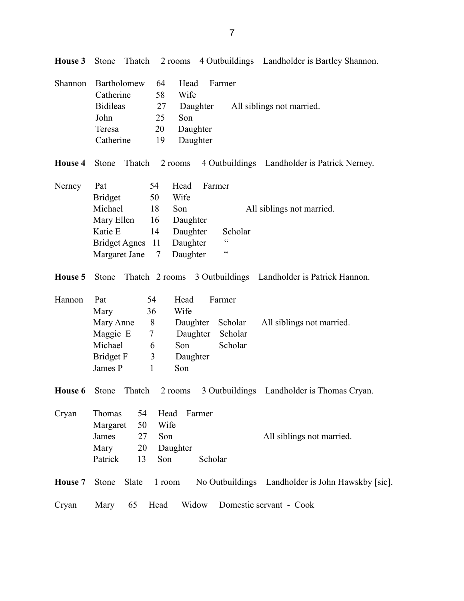| Shannon        | Bartholomew           | 64     | Head     | Farmer          |                                                             |
|----------------|-----------------------|--------|----------|-----------------|-------------------------------------------------------------|
|                | Catherine             | 58     | Wife     |                 |                                                             |
|                | <b>Bidileas</b>       | 27     | Daughter |                 | All siblings not married.                                   |
|                | John                  | 25     | Son      |                 |                                                             |
|                | Teresa                | 20     | Daughter |                 |                                                             |
|                | Catherine             | 19     | Daughter |                 |                                                             |
| <b>House 4</b> | Thatch<br>Stone       |        | 2 rooms  |                 | 4 Outbuildings Landholder is Patrick Nerney.                |
| Nerney         | Pat                   | 54     | Head     | Farmer          |                                                             |
|                | <b>Bridget</b>        | 50     | Wife     |                 |                                                             |
|                | Michael               | 18     | Son      |                 | All siblings not married.                                   |
|                | Mary Ellen            | 16     | Daughter |                 |                                                             |
|                | Katie E               | 14     | Daughter | Scholar         |                                                             |
|                | <b>Bridget Agnes</b>  | 11     | Daughter | $\epsilon$      |                                                             |
|                | Margaret Jane         | 7      | Daughter | $\zeta$ $\zeta$ |                                                             |
| House 5        | Stone                 |        |          |                 | Thatch 2 rooms 3 Outbuildings Landholder is Patrick Hannon. |
| Hannon         | Pat                   | 54     | Head     | Farmer          |                                                             |
|                | Mary                  | 36     | Wife     |                 |                                                             |
|                | Mary Anne             | $8\,$  | Daughter | Scholar         | All siblings not married.                                   |
|                | Maggie E              | 7      | Daughter | Scholar         |                                                             |
|                | Michael               | 6      | Son      | Scholar         |                                                             |
|                | Bridget F             | 3      | Daughter |                 |                                                             |
|                | James P               | 1      | Son      |                 |                                                             |
| House 6        | Thatch<br>Stone       |        | 2 rooms  |                 | 3 Outbuildings Landholder is Thomas Cryan.                  |
| Cryan          | Thomas<br>54          | Head   | Farmer   |                 |                                                             |
|                | 50<br>Margaret        | Wife   |          |                 |                                                             |
|                | 27<br>James           | Son    |          |                 | All siblings not married.                                   |
|                | Mary<br>20            |        | Daughter |                 |                                                             |
|                | Patrick<br>13         | Son    |          | Scholar         |                                                             |
| House 7        | Slate<br><b>Stone</b> | 1 room |          |                 | No Outbuildings Landholder is John Hawskby [sic].           |
| Cryan          | Mary<br>65            | Head   | Widow    |                 | Domestic servant - Cook                                     |

**House 3** Stone Thatch 2 rooms 4 Outbuildings Landholder is Bartley Shannon.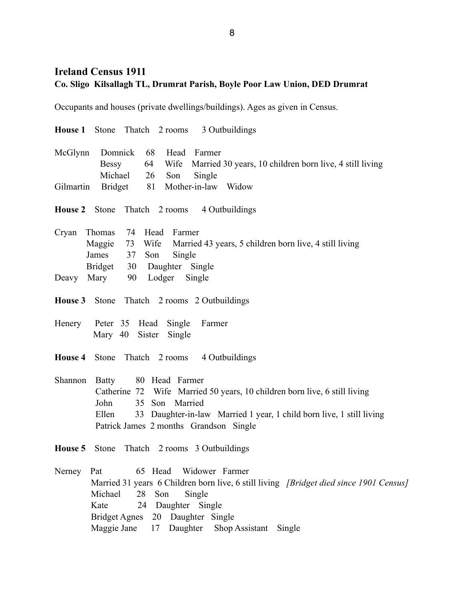## **Ireland Census 1911 Co. Sligo Kilsallagh TL, Drumrat Parish, Boyle Poor Law Union, DED Drumrat**

Occupants and houses (private dwellings/buildings). Ages as given in Census.

|                |                                                               | <b>House 1</b> Stone Thatch 2 rooms 3 Outbuildings                                                                                                                                                                                   |
|----------------|---------------------------------------------------------------|--------------------------------------------------------------------------------------------------------------------------------------------------------------------------------------------------------------------------------------|
| McGlynn        | Domnick<br>Bessy<br>Michael                                   | 68<br>Head<br>Farmer<br>Wife Married 30 years, 10 children born live, 4 still living<br>64<br>Son<br>Single<br>26                                                                                                                    |
| Gilmartin      | Bridget                                                       | 81 Mother-in-law Widow                                                                                                                                                                                                               |
|                |                                                               | House 2 Stone Thatch 2 rooms 4 Outbuildings                                                                                                                                                                                          |
| Cryan          | Thomas<br>Maggie<br>James<br>37                               | 74 Head Farmer<br>73 Wife<br>Married 43 years, 5 children born live, 4 still living<br>Son<br>Single<br>Bridget 30 Daughter Single                                                                                                   |
| Deavy          | Mary                                                          | 90 Lodger Single                                                                                                                                                                                                                     |
|                |                                                               | <b>House 3</b> Stone Thatch 2 rooms 2 Outbuildings                                                                                                                                                                                   |
| Henery         | Peter 35 Head<br>Mary 40                                      | Single<br>Farmer<br>Sister<br>Single                                                                                                                                                                                                 |
| <b>House 4</b> |                                                               | Stone Thatch 2 rooms 4 Outbuildings                                                                                                                                                                                                  |
| Shannon        | <b>Batty</b><br>John<br>Ellen                                 | 80 Head Farmer<br>Catherine 72 Wife Married 50 years, 10 children born live, 6 still living<br>35 Son Married<br>33 Daughter-in-law Married 1 year, 1 child born live, 1 still living<br>Patrick James 2 months Grandson Single      |
| House 5        | Stone                                                         | Thatch 2 rooms 3 Outbuildings                                                                                                                                                                                                        |
| Nerney         | Pat<br>Michael<br>Kate<br><b>Bridget Agnes</b><br>Maggie Jane | Widower Farmer<br>65 Head<br>Married 31 years 6 Children born live, 6 still living [Bridget died since 1901 Census]<br>28<br>Son<br>Single<br>24<br>Daughter Single<br>20 Daughter Single<br>Daughter<br>17<br>Shop Assistant Single |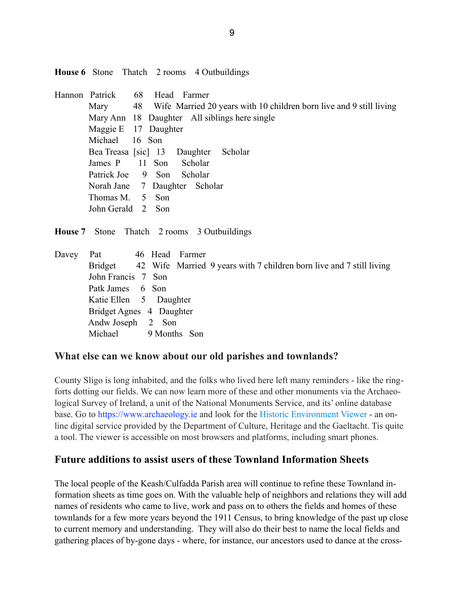**House 6** Stone Thatch 2 rooms 4 Outbuildings

Hannon Patrick 68 Head Farmer Mary 48 Wife Married 20 years with 10 children born live and 9 still living Mary Ann 18 Daughter All siblings here single Maggie E 17 Daughter Michael 16 Son Bea Treasa [sic] 13 Daughter Scholar James P 11 Son Scholar Patrick Joe 9 Son Scholar Norah Jane 7 Daughter Scholar Thomas M. 5 Son John Gerald 2 Son

**House 7** Stone Thatch 2 rooms 3 Outbuildings

Davey Pat 46 Head Farmer Bridget 42 Wife Married 9 years with 7 children born live and 7 still living John Francis 7 Son Patk James 6 Son Katie Ellen 5 Daughter Bridget Agnes 4 Daughter Andw Joseph 2 Son Michael 9 Months Son

## **What else can we know about our old parishes and townlands?**

County Sligo is long inhabited, and the folks who lived here left many reminders - like the ringforts dotting our fields. We can now learn more of these and other monuments via the Archaeological Survey of Ireland, a unit of the National Monuments Service, and its' online database base. Go to [https://www.archaeology.ie](https://www.archaeology.ie/) and look for the [Historic Environment Viewer](http://webgis.archaeology.ie/historicenvironment) - an online digital service provided by the Department of Culture, Heritage and the Gaeltacht. Tis quite a tool. The viewer is accessible on most browsers and platforms, including smart phones.

## **Future additions to assist users of these Townland Information Sheets**

The local people of the Keash/Culfadda Parish area will continue to refine these Townland information sheets as time goes on. With the valuable help of neighbors and relations they will add names of residents who came to live, work and pass on to others the fields and homes of these townlands for a few more years beyond the 1911 Census, to bring knowledge of the past up close to current memory and understanding. They will also do their best to name the local fields and gathering places of by-gone days - where, for instance, our ancestors used to dance at the cross